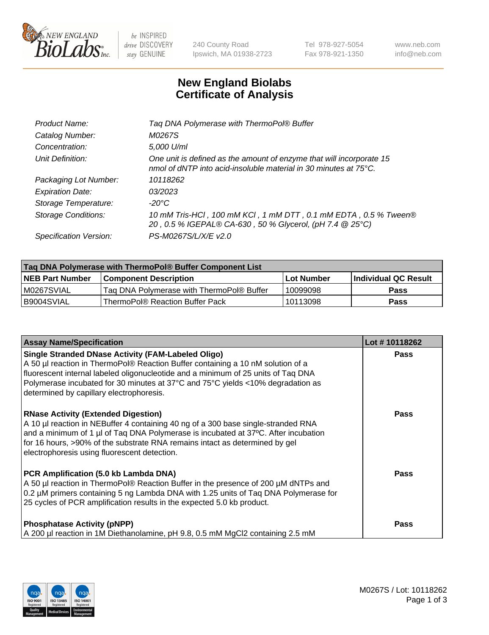

 $be$  INSPIRED drive DISCOVERY stay GENUINE

240 County Road Ipswich, MA 01938-2723 Tel 978-927-5054 Fax 978-921-1350 www.neb.com info@neb.com

## **New England Biolabs Certificate of Analysis**

| Tag DNA Polymerase with ThermoPol® Buffer                                                                                                |
|------------------------------------------------------------------------------------------------------------------------------------------|
| M0267S                                                                                                                                   |
| 5,000 U/ml                                                                                                                               |
| One unit is defined as the amount of enzyme that will incorporate 15<br>nmol of dNTP into acid-insoluble material in 30 minutes at 75°C. |
| 10118262                                                                                                                                 |
| 03/2023                                                                                                                                  |
| $-20^{\circ}$ C                                                                                                                          |
| 10 mM Tris-HCl, 100 mM KCl, 1 mM DTT, 0.1 mM EDTA, 0.5 % Tween®<br>20, 0.5 % IGEPAL® CA-630, 50 % Glycerol, (pH 7.4 @ 25°C)              |
| PS-M0267S/L/X/E v2.0                                                                                                                     |
|                                                                                                                                          |

| ∣Taq DNA Polymerase with ThermoPol® Buffer Component List |                                           |                   |                      |  |
|-----------------------------------------------------------|-------------------------------------------|-------------------|----------------------|--|
| <b>NEB Part Number</b>                                    | <b>Component Description</b>              | <b>Lot Number</b> | Individual QC Result |  |
| M0267SVIAL                                                | Tag DNA Polymerase with ThermoPol® Buffer | 10099098          | Pass                 |  |
| B9004SVIAL                                                | ThermoPol® Reaction Buffer Pack           | 10113098          | Pass                 |  |

| <b>Assay Name/Specification</b>                                                                                                                                                                                                                                                                                                                                  | Lot #10118262 |
|------------------------------------------------------------------------------------------------------------------------------------------------------------------------------------------------------------------------------------------------------------------------------------------------------------------------------------------------------------------|---------------|
| <b>Single Stranded DNase Activity (FAM-Labeled Oligo)</b><br>A 50 µl reaction in ThermoPol® Reaction Buffer containing a 10 nM solution of a<br>fluorescent internal labeled oligonucleotide and a minimum of 25 units of Taq DNA<br>Polymerase incubated for 30 minutes at 37°C and 75°C yields <10% degradation as<br>determined by capillary electrophoresis. | <b>Pass</b>   |
| <b>RNase Activity (Extended Digestion)</b><br>A 10 µl reaction in NEBuffer 4 containing 40 ng of a 300 base single-stranded RNA<br>and a minimum of 1 µl of Taq DNA Polymerase is incubated at 37°C. After incubation<br>for 16 hours, >90% of the substrate RNA remains intact as determined by gel<br>electrophoresis using fluorescent detection.             | Pass          |
| PCR Amplification (5.0 kb Lambda DNA)<br>A 50 µl reaction in ThermoPol® Reaction Buffer in the presence of 200 µM dNTPs and<br>0.2 µM primers containing 5 ng Lambda DNA with 1.25 units of Taq DNA Polymerase for<br>25 cycles of PCR amplification results in the expected 5.0 kb product.                                                                     | Pass          |
| <b>Phosphatase Activity (pNPP)</b><br>A 200 µl reaction in 1M Diethanolamine, pH 9.8, 0.5 mM MgCl2 containing 2.5 mM                                                                                                                                                                                                                                             | <b>Pass</b>   |

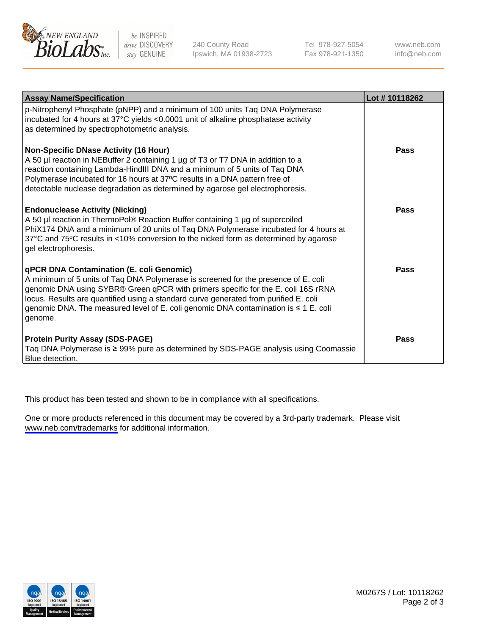

be INSPIRED drive DISCOVERY stay GENUINE

240 County Road Ipswich, MA 01938-2723 Tel 978-927-5054 Fax 978-921-1350

www.neb.com info@neb.com

| <b>Assay Name/Specification</b>                                                                                                                                                                                                                                                                                                                                                                               | Lot #10118262 |
|---------------------------------------------------------------------------------------------------------------------------------------------------------------------------------------------------------------------------------------------------------------------------------------------------------------------------------------------------------------------------------------------------------------|---------------|
| p-Nitrophenyl Phosphate (pNPP) and a minimum of 100 units Taq DNA Polymerase<br>incubated for 4 hours at 37°C yields <0.0001 unit of alkaline phosphatase activity<br>as determined by spectrophotometric analysis.                                                                                                                                                                                           |               |
| <b>Non-Specific DNase Activity (16 Hour)</b><br>A 50 µl reaction in NEBuffer 2 containing 1 µg of T3 or T7 DNA in addition to a<br>reaction containing Lambda-HindIII DNA and a minimum of 5 units of Taq DNA<br>Polymerase incubated for 16 hours at 37°C results in a DNA pattern free of<br>detectable nuclease degradation as determined by agarose gel electrophoresis.                                  | <b>Pass</b>   |
| <b>Endonuclease Activity (Nicking)</b><br>A 50 µl reaction in ThermoPol® Reaction Buffer containing 1 µg of supercoiled<br>PhiX174 DNA and a minimum of 20 units of Taq DNA Polymerase incubated for 4 hours at<br>37°C and 75°C results in <10% conversion to the nicked form as determined by agarose<br>gel electrophoresis.                                                                               | Pass          |
| qPCR DNA Contamination (E. coli Genomic)<br>A minimum of 5 units of Taq DNA Polymerase is screened for the presence of E. coli<br>genomic DNA using SYBR® Green qPCR with primers specific for the E. coli 16S rRNA<br>locus. Results are quantified using a standard curve generated from purified E. coli<br>genomic DNA. The measured level of E. coli genomic DNA contamination is ≤ 1 E. coli<br>genome. | Pass          |
| <b>Protein Purity Assay (SDS-PAGE)</b><br>Taq DNA Polymerase is ≥ 99% pure as determined by SDS-PAGE analysis using Coomassie<br>Blue detection.                                                                                                                                                                                                                                                              | Pass          |

This product has been tested and shown to be in compliance with all specifications.

One or more products referenced in this document may be covered by a 3rd-party trademark. Please visit <www.neb.com/trademarks>for additional information.